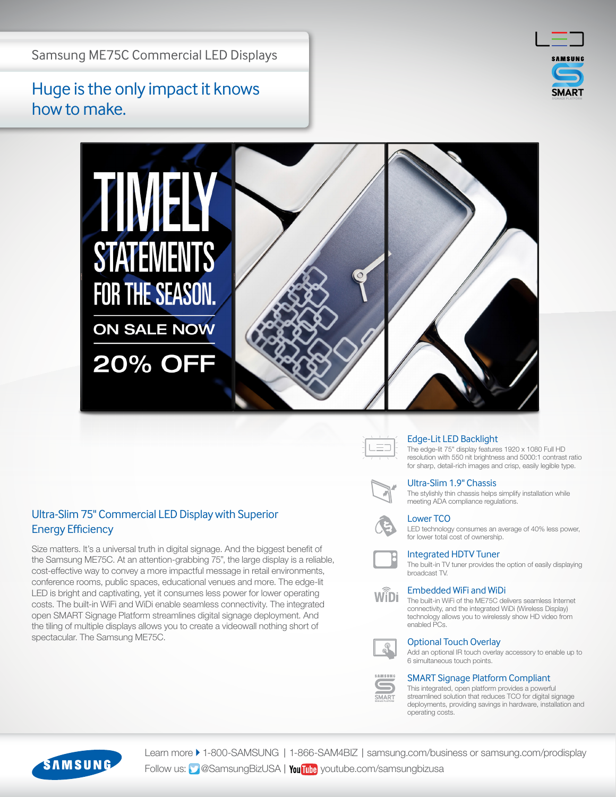Samsung ME75C Commercial LED Displays

Huge is the only impact it knows how to make.





# Ultra-Slim 75" Commercial LED Display with Superior Energy Efficiency

Size matters. It's a universal truth in digital signage. And the biggest benefit of the Samsung ME75C. At an attention-grabbing 75", the large display is a reliable, cost-effective way to convey a more impactful message in retail environments, conference rooms, public spaces, educational venues and more. The edge-lit LED is bright and captivating, yet it consumes less power for lower operating costs. The built-in WiFi and WiDi enable seamless connectivity. The integrated open SMART Signage Platform streamlines digital signage deployment. And the tiling of multiple displays allows you to create a videowall nothing short of spectacular. The Samsung ME75C.



# Edge-Lit LED Backlight

The edge-lit 75" display features 1920 x 1080 Full HD resolution with 550 nit brightness and 5000:1 contrast ratio for sharp, detail-rich images and crisp, easily legible type.

#### Ultra-Slim 1.9" Chassis

The stylishly thin chassis helps simplify installation while meeting ADA compliance regulations.

# Lower TCO

LED technology consumes an average of 40% less power, for lower total cost of ownership.

#### Integrated HDTV Tuner

The built-in TV tuner provides the option of easily displaying broadcast TV.

#### Embedded WiFi and WiDi

The built-in WiFi of the ME75C delivers seamless Internet connectivity, and the integrated WiDi (Wireless Display) technology allows you to wirelessly show HD video from enabled PCs.

# Optional Touch Overlay

Add an optional IR touch overlay accessory to enable up to 6 simultaneous touch points.



#### SMART Signage Platform Compliant

This integrated, open platform provides a powerful streamlined solution that reduces TCO for digital signage deployments, providing savings in hardware, installation and operating costs.



Follow us: **@SamsungBizUSA** | You **[the [youtube.com/samsungbizusa](http://www.youtube.com/samsungbizusa)** Learn more  $\blacktriangleright$  1-800-SAMSUNG | 1-866-SAM4BIZ | [samsung.com/business](http://www.samsung.com/business) or [samsung.com/prodisplay](http://www.samsung.com/prodisplay)